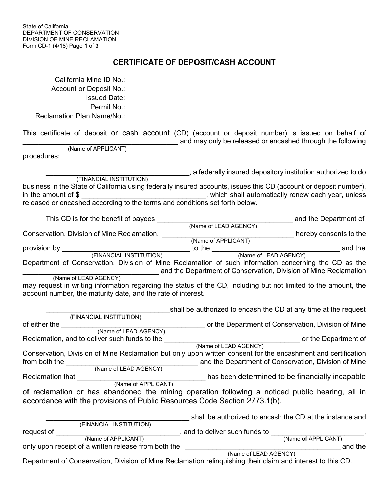## **CERTIFICATE OF DEPOSIT/CASH ACCOUNT**

| Permit No.:                                                                                                                                                                                                                                                                                                                 |                                                                  |                                |
|-----------------------------------------------------------------------------------------------------------------------------------------------------------------------------------------------------------------------------------------------------------------------------------------------------------------------------|------------------------------------------------------------------|--------------------------------|
| This certificate of deposit or cash account (CD) (account or deposit number) is issued on behalf of                                                                                                                                                                                                                         | and may only be released or encashed through the following       |                                |
| (Name of APPLICANT)<br>procedures:                                                                                                                                                                                                                                                                                          |                                                                  |                                |
|                                                                                                                                                                                                                                                                                                                             | a federally insured depository institution authorized to do      |                                |
| (FINANCIAL INSTITUTION)<br>business in the State of California using federally insured accounts, issues this CD (account or deposit number),<br>in the amount of $\frac{1}{2}$ merged according to the terms and conditions set forth below.<br>released or encashed according to the terms and conditions set forth below. |                                                                  |                                |
| This CD is for the benefit of payees                                                                                                                                                                                                                                                                                        |                                                                  |                                |
|                                                                                                                                                                                                                                                                                                                             | (Name of LEAD AGENCY) and the Department of                      |                                |
|                                                                                                                                                                                                                                                                                                                             |                                                                  |                                |
|                                                                                                                                                                                                                                                                                                                             |                                                                  |                                |
| Department of Conservation, Division of Mine Reclamation of such information concerning the CD as the                                                                                                                                                                                                                       | and the Department of Conservation, Division of Mine Reclamation |                                |
| (Name of LEAD AGENCY)<br>may request in writing information regarding the status of the CD, including but not limited to the amount, the<br>account number, the maturity date, and the rate of interest.                                                                                                                    |                                                                  |                                |
|                                                                                                                                                                                                                                                                                                                             | shall be authorized to encash the CD at any time at the request  |                                |
| (FINANCIAL INSTITUTION)                                                                                                                                                                                                                                                                                                     |                                                                  |                                |
|                                                                                                                                                                                                                                                                                                                             |                                                                  |                                |
| Conservation, Division of Mine Reclamation but only upon written consent for the encashment and certification<br>from both the<br>(Name of LEAD AGENCY)                                                                                                                                                                     | and the Department of Conservation, Division of Mine             |                                |
| Reclamation that                                                                                                                                                                                                                                                                                                            | has been determined to be financially incapable                  |                                |
| (Name of APPLICANT)<br>of reclamation or has abandoned the mining operation following a noticed public hearing, all in<br>accordance with the provisions of Public Resources Code Section 2773.1(b).                                                                                                                        |                                                                  |                                |
|                                                                                                                                                                                                                                                                                                                             | shall be authorized to encash the CD at the instance and         |                                |
| (FINANCIAL INSTITUTION)<br>request of                                                                                                                                                                                                                                                                                       | , and to deliver such funds to                                   |                                |
| (Name of APPLICANT)<br>only upon receipt of a written release from both the                                                                                                                                                                                                                                                 |                                                                  | (Name of APPLICANT)<br>and the |
| Department of Conservation, Division of Mine Reclamation relinguishing their claim and interest to this CD.                                                                                                                                                                                                                 | (Name of LEAD AGENCY)                                            |                                |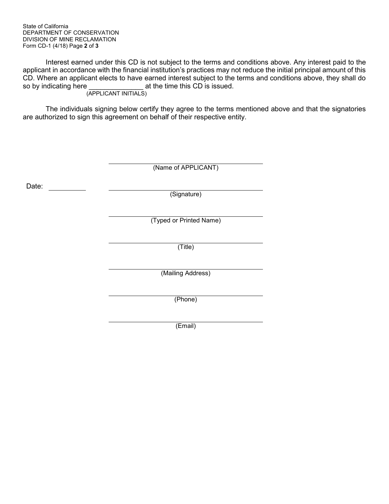State of California DEPARTMENT OF CONSERVATION DIVISION OF MINE RECLAMATION Form CD-1 (4/18) Page **2** of **3**

Interest earned under this CD is not subject to the terms and conditions above. Any interest paid to the applicant in accordance with the financial institution's practices may not reduce the initial principal amount of this CD. Where an applicant elects to have earned interest subject to the terms and conditions above, they shall do so by indicating here \_\_\_\_\_\_\_\_\_\_\_\_\_\_ at the time this CD is issued. (APPLICANT INITIALS)

The individuals signing below certify they agree to the terms mentioned above and that the signatories are authorized to sign this agreement on behalf of their respective entity.

|       | (Name of APPLICANT)     |
|-------|-------------------------|
| Date: | (Signature)             |
|       | (Typed or Printed Name) |
|       | (Title)                 |
|       | (Mailing Address)       |
|       | (Phone)                 |
|       | (Email)                 |